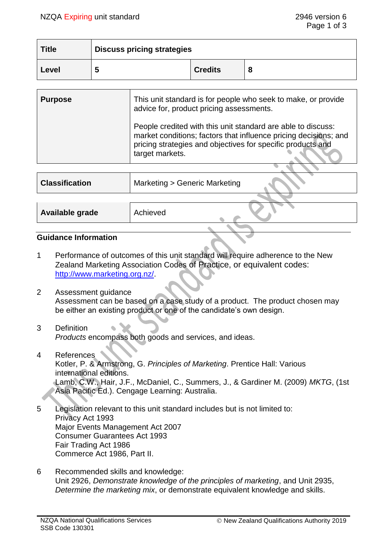| <b>Title</b> | <b>Discuss pricing strategies</b> |                |   |
|--------------|-----------------------------------|----------------|---|
| Level        |                                   | <b>Credits</b> | о |

| People credited with this unit standard are able to discuss:<br>pricing strategies and objectives for specific products and | <b>Purpose</b> | This unit standard is for people who seek to make, or provide<br>advice for, product pricing assessments. |
|-----------------------------------------------------------------------------------------------------------------------------|----------------|-----------------------------------------------------------------------------------------------------------|
|                                                                                                                             |                | market conditions; factors that influence pricing decisions; and<br>target markets.                       |

| <b>Classification</b> | Marketing > Generic Marketing |  |
|-----------------------|-------------------------------|--|
|                       |                               |  |
| Available grade       | Achieved                      |  |
|                       |                               |  |

# **Guidance Information**

- 1 Performance of outcomes of this unit standard will require adherence to the New Zealand Marketing Association Codes of Practice, or equivalent codes: [http://www.marketing.org.nz/.](http://www.marketing.org.nz/)
- 2 Assessment guidance Assessment can be based on a case study of a product. The product chosen may be either an existing product or one of the candidate's own design.
- 3 Definition *Products* encompass both goods and services, and ideas.
- 4 References Kotler, P. & Armstrong, G. *Principles of Marketing*. Prentice Hall: Various international editions. Lamb, C.W., Hair, J.F., McDaniel, C., Summers, J., & Gardiner M. (2009) *MKTG*, (1st Asia Pacific Ed.). Cengage Learning: Australia.
- 5 Legislation relevant to this unit standard includes but is not limited to: Privacy Act 1993 Major Events Management Act 2007 Consumer Guarantees Act 1993 Fair Trading Act 1986 Commerce Act 1986, Part II.
- 6 Recommended skills and knowledge: Unit 2926, *Demonstrate knowledge of the principles of marketing*, and Unit 2935, *Determine the marketing mix*, or demonstrate equivalent knowledge and skills.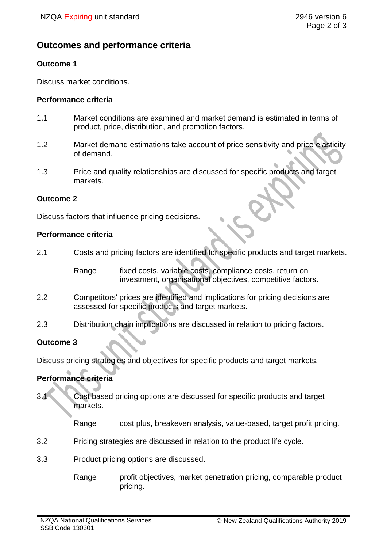# **Outcomes and performance criteria**

### **Outcome 1**

Discuss market conditions.

#### **Performance criteria**

- 1.1 Market conditions are examined and market demand is estimated in terms of product, price, distribution, and promotion factors.
- 1.2 Market demand estimations take account of price sensitivity and price elasticity of demand.
- 1.3 Price and quality relationships are discussed for specific products and target markets.

#### **Outcome 2**

Discuss factors that influence pricing decisions.

#### **Performance criteria**

2.1 Costs and pricing factors are identified for specific products and target markets.

Range fixed costs, variable costs, compliance costs, return on investment, organisational objectives, competitive factors.

- 2.2 Competitors' prices are identified and implications for pricing decisions are assessed for specific products and target markets.
- 2.3 Distribution chain implications are discussed in relation to pricing factors.

### **Outcome 3**

Discuss pricing strategies and objectives for specific products and target markets.

### **Performance criteria**

3.1 Cost based pricing options are discussed for specific products and target markets.

Range cost plus, breakeven analysis, value-based, target profit pricing.

- 3.2 Pricing strategies are discussed in relation to the product life cycle.
- 3.3 Product pricing options are discussed.
	- Range profit objectives, market penetration pricing, comparable product pricing.